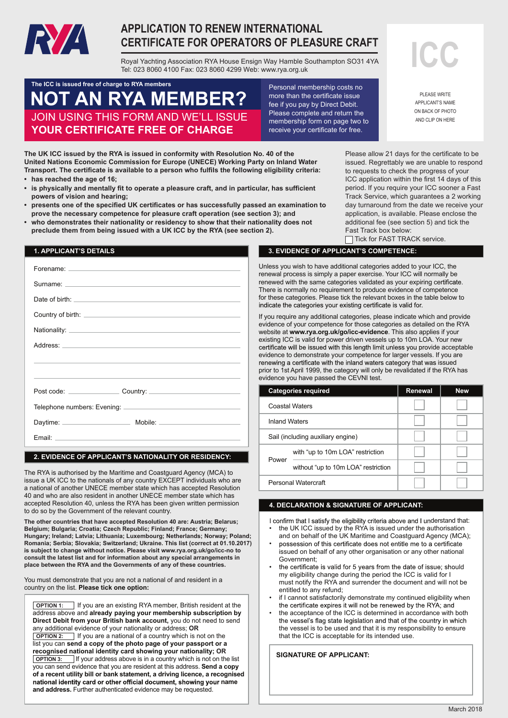

# **APPLICATION TO RENEW INTERNATIONAL CERTIFICATE FOR OPERATORS OF PLEASURE CRAFT**

**—**<br>Royal Yachting Association RYA House Ensign Way Hamble Southampton SO31 4YA Tel: 023 8060 4100 Fax: 023 8060 4299 Web: www.rya.org.uk **CERTIFICATE FOR OPERATORS OF PLEASURE CRAFT**<br>
Royal Yachting Association RYA House Ensign Way Hamble Southampton SO31 4YA<br>
Tel: 023 8060 4100 Fax: 023 8060 4299 Web: www.rya.org.uk

## **NOT AN RYA MEMBER?** Mere than the **NOT AN RYA MEMBER** Personal membership costs no ensign Way House Ensign Way Hamble Southampton Ryange Ensign Way Hamble Southampton So JOIN USING THIS FORM AND WE'LL ISSUE **NOT AN RYA MEMBER?** YOUR CERTIFICATE FREE OF CHARGE **The ICC is issued free of charge to RYA members**

more than the certificate issue fee if you pay by Direct Debit. **Please complete and return the**  $\frac{1}{2}$ **Check the propentity of the property** membership form on page two to receive your certificate for free.

**The UK ICC issued by the RYA is issued in conformity with Resolution No. 40 of the**  application, is available. Please enclose the additional **YOUR CERTIFICATE FREE OF CHARGE** United Nations Economic Commission for Europe (UNECE) Working Party on Inland Water **hear as a set of the Fast** Transport. The certificate is available to a person who fulfils the following eligibility criteria: **• has reached the age of 16; correctly**  $\sim$ **Tick for FAST TRACK service**

- **is physically and mentally fit to operate a pleasure craft, and in particular, has sufficient powers of vision and hearing;** powers of vision and hearing; example of the state of the state of the state of vision and hearing; the state of the state of the state of the state of the state of the state of the state of the state of the state of the s
- **presents one of the specified UK certificates or has successfully passed an examination to prove the necessary competence for pleasure craft operation (see section 3); and**
- **who demonstrates their nationality or residency to show that their nationality does not • preclude them from being issued with a UK ICC by the RYA (see section 2).** Fast Track box below: **•**

|  | <b>1. APPLICANT'S DETAILS</b> |  |
|--|-------------------------------|--|
|  |                               |  |

#### **2. EVIDENCE OF APPLICANT'S NATIONALITY OR RESIDENCY:**

The RYA is authorised by the Maritime and Coastguard Agency (MCA) to issue a UK ICC to the nationals of any country EXCEPT individuals who are a national of another UNECE member state which has accepted Resolution 40 and who are also resident in another UNECE member state which has accepted Resolution 40, unless the RYA has been given written permission to do so by the Government of the relevant country. **2. EVIDENCE OF APPLICANT'S NATIONALITY OR RESIDENCY:**<br>The RYA is authorised by the Maritime and Coastguard Agency (MCA) to<br>issue a UK ICC to the nationals of any country EXCEPT individuals who are<br>a national of another UN

**The other countries that have accepted Resolution 40 are: Austria; Belarus;**  Belgium; Bulgaria; Croatia; Czech Republic; Finland; France; Germany; **Hungary; Ireland; Latvia; Lithuania; Luxembourg; Netherlands; Norway; Hungary; Ireland; Latvia; Lithuania; Luxembourg; Netherlands; Norway; Poland; Romania; Slovakia; Switzerland. This list (correct at 01.10.2015) is subject Romania; Serbia; Slovakia; Switzerland; Ukraine. This list (correct at 01.10.2017) to change without notice. Please visit www.rya.org.uk/go/icc-no to consult the latest list and for information about any special arrangements in consult the latest list and for information about any special arrangements in place between the RYA and the Governments of any of these countries. place between the RYA and the Governments of any of these countries. is subject to change without notice. Please visit www.rya.org.uk/go/icc-no to** 

You must demonstrate that you are not a national of and resident in a country on the list. **Please tick one option:** 

**OPTION 1:** If you are an existing RYA member, British resident at the address above and **already paying your membership subscription by Direct Debit from your British bank account,** you do not need to send any additional evidence of your nationality or address; **OR DETION 2:** If you are a national of a country which is not on the list you can **send a copy of the photo page of your passport or a recognised national identity card showing your nationality; OR OPTION 3:** If your address above is in a country which is not on the list you can send evidence that you are resident at this address. **Send a copy of a recent utility bill or bank statement, a driving licence, a recognised**  national identity card or other official document, showing your name **and address.** Further authenticated evidence may be requested.

Please allow 21 days for the certificate to be issued. Regrettably we are unable to respond soon een Fast Track Service, which guarantees a 20

to requests to check the progress of your ICC application within the first 14 days of this period. If you require your ICC sooner a Fast day turnaround from the date we receive your application, is available. Please enclose the additional fee (see section 5) and tick the Fast Track box below:

Tick for FAST TRACK service. **• who demonstrates their nationality or residency to show that their nationality does not preclude them from being issued with aUK ICC by the RYA (see section 2).**

## **3. EVIDENCE OF APPLICANT'S COMPETENCE:**

Unless you wish to have additional categories added to your ICC, the renewal process is simply a paper exercise. Your ICC will normally be renewed with the same categories validated as your expiring certificate. There is normally no requirement to produce evidence of competence for these categories. Please tick the relevant boxes in the table below to indicate the categories your existing certificate is valid for.

If you require any additional categories, please indicate which and provide evidence of your competence for those categories as detailed on the RYA website at **www.rya.org.uk/go/icc-evidence**. This also applies if your existing ICC is valid for power driven vessels up to 10m LOA. Your new certificate will be issued with this length limit unless you provide acceptable evidence to demonstrate your competence for larger vessels. If you are renewing a certificate with the inland waters category that was issued prior to 1st April 1999, the category will only be revalidated if the RYA has evidence you have passed the CEVNI test.

|                      | <b>Categories required</b>          | Renewal | <b>New</b> |
|----------------------|-------------------------------------|---------|------------|
|                      | Coastal Waters                      |         |            |
| <b>Inland Waters</b> |                                     |         |            |
|                      | Sail (including auxiliary engine)   |         |            |
| Power                | with "up to 10m LOA" restriction    |         |            |
|                      | without "up to 10m LOA" restriction |         |            |
|                      | Personal Watercraft                 |         |            |

## **4. DECLARATION & SIGNATURE OF APPLICANT:**

I confirm that I satisfy the eligibility criteria above and I understand that: the UK ICC issued by the RYA is issued under the authorisation

- and on behalf of the UK Maritime and Coastguard Agency (MCA);<br>possession of this certificate does not entitle me to a certificate • issued on behalf of any other organisation or any other national Government;
- the certificate is valid for 5 years from the date of issue; should my eligibility change during the period the ICC is valid for I must notify the RYA and surrender the document and will not be entitled to any refund;
- if I cannot satisfactorily demonstrate my continued eligibility when<br>the certificate expires it will not be renewed by the RYA; and
- the acceptance of the ICC is determined in accordance with both the vessel's flag state legislation and that of the country in which the vessel is to be used and that it is my responsibility to ensure that the ICC is acceptable for its intended use.

**SIGNATURE OF APPLICANT:**

**PLEASE WRITE** APPLICANT'S NAME ON BACK OF PHOTO AND CLIP ON HERE

March 2018